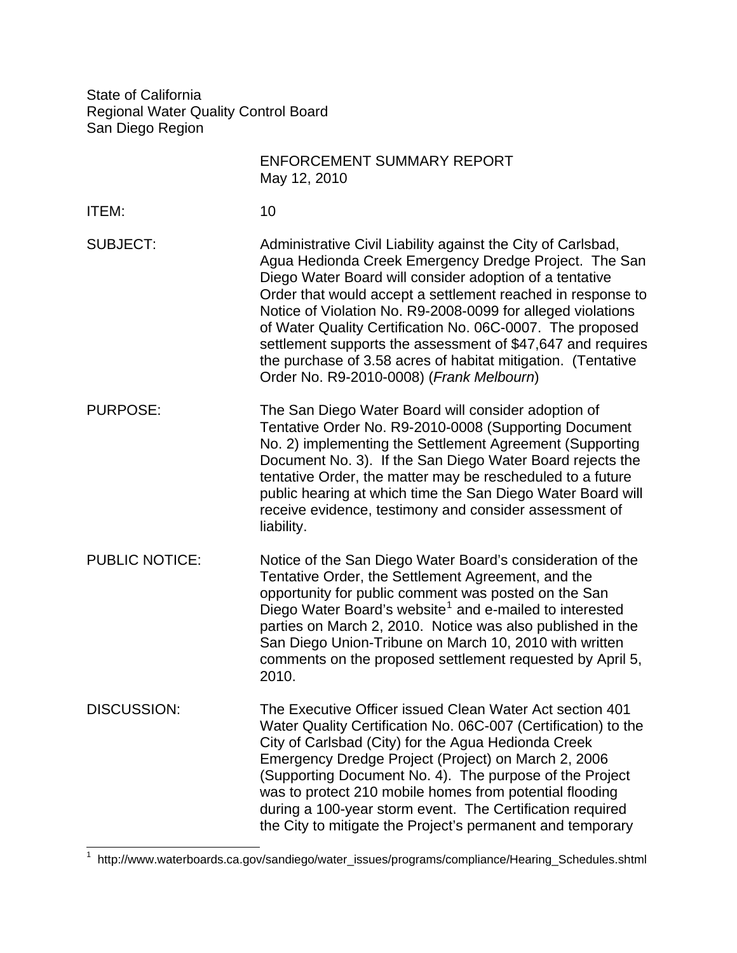State of California Regional Water Quality Control Board San Diego Region

|                       | <b>ENFORCEMENT SUMMARY REPORT</b><br>May 12, 2010                                                                                                                                                                                                                                                                                                                                                                                                                                                                                                      |
|-----------------------|--------------------------------------------------------------------------------------------------------------------------------------------------------------------------------------------------------------------------------------------------------------------------------------------------------------------------------------------------------------------------------------------------------------------------------------------------------------------------------------------------------------------------------------------------------|
| <b>ITEM:</b>          | 10                                                                                                                                                                                                                                                                                                                                                                                                                                                                                                                                                     |
| <b>SUBJECT:</b>       | Administrative Civil Liability against the City of Carlsbad,<br>Agua Hedionda Creek Emergency Dredge Project. The San<br>Diego Water Board will consider adoption of a tentative<br>Order that would accept a settlement reached in response to<br>Notice of Violation No. R9-2008-0099 for alleged violations<br>of Water Quality Certification No. 06C-0007. The proposed<br>settlement supports the assessment of \$47,647 and requires<br>the purchase of 3.58 acres of habitat mitigation. (Tentative<br>Order No. R9-2010-0008) (Frank Melbourn) |
| <b>PURPOSE:</b>       | The San Diego Water Board will consider adoption of<br>Tentative Order No. R9-2010-0008 (Supporting Document<br>No. 2) implementing the Settlement Agreement (Supporting<br>Document No. 3). If the San Diego Water Board rejects the<br>tentative Order, the matter may be rescheduled to a future<br>public hearing at which time the San Diego Water Board will<br>receive evidence, testimony and consider assessment of<br>liability.                                                                                                             |
| <b>PUBLIC NOTICE:</b> | Notice of the San Diego Water Board's consideration of the<br>Tentative Order, the Settlement Agreement, and the<br>opportunity for public comment was posted on the San<br>Diego Water Board's website <sup>1</sup> and e-mailed to interested<br>parties on March 2, 2010. Notice was also published in the<br>San Diego Union-Tribune on March 10, 2010 with written<br>comments on the proposed settlement requested by April 5,<br>2010.                                                                                                          |
| <b>DISCUSSION:</b>    | The Executive Officer issued Clean Water Act section 401<br>Water Quality Certification No. 06C-007 (Certification) to the<br>City of Carlsbad (City) for the Agua Hedionda Creek<br>Emergency Dredge Project (Project) on March 2, 2006<br>(Supporting Document No. 4). The purpose of the Project<br>was to protect 210 mobile homes from potential flooding<br>during a 100-year storm event. The Certification required<br>the City to mitigate the Project's permanent and temporary                                                              |

<span id="page-0-0"></span> 1 http://www.waterboards.ca.gov/sandiego/water\_issues/programs/compliance/Hearing\_Schedules.shtml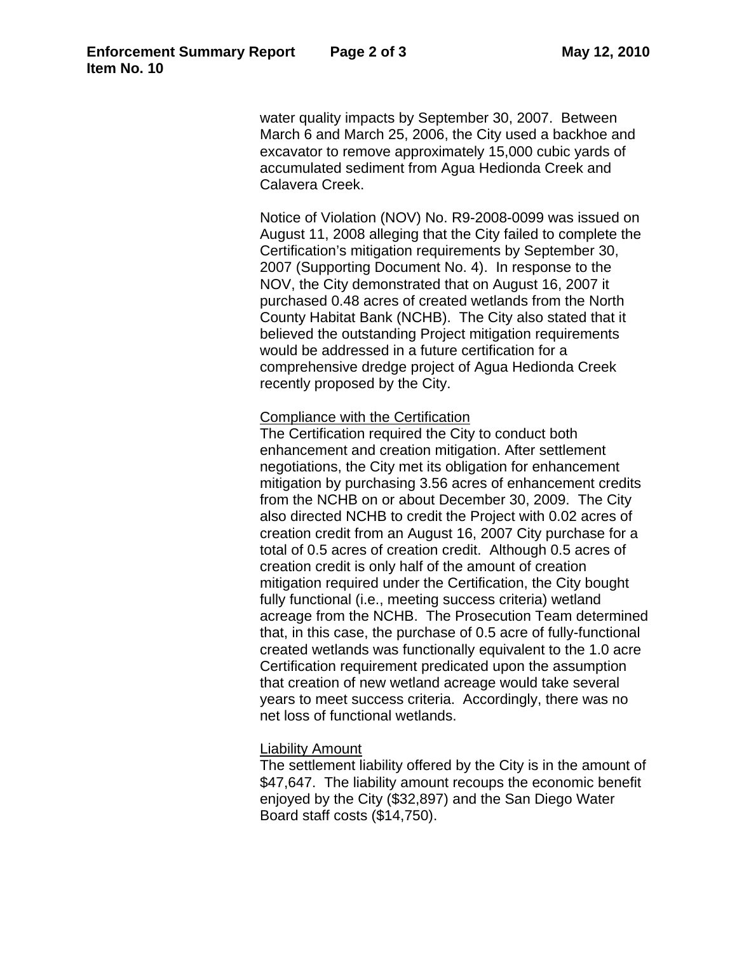water quality impacts by September 30, 2007. Between March 6 and March 25, 2006, the City used a backhoe and excavator to remove approximately 15,000 cubic yards of accumulated sediment from Agua Hedionda Creek and Calavera Creek.

Notice of Violation (NOV) No. R9-2008-0099 was issued on August 11, 2008 alleging that the City failed to complete the Certification's mitigation requirements by September 30, 2007 (Supporting Document No. 4). In response to the NOV, the City demonstrated that on August 16, 2007 it purchased 0.48 acres of created wetlands from the North County Habitat Bank (NCHB). The City also stated that it believed the outstanding Project mitigation requirements would be addressed in a future certification for a comprehensive dredge project of Agua Hedionda Creek recently proposed by the City.

## Compliance with the Certification

The Certification required the City to conduct both enhancement and creation mitigation. After settlement negotiations, the City met its obligation for enhancement mitigation by purchasing 3.56 acres of enhancement credits from the NCHB on or about December 30, 2009. The City also directed NCHB to credit the Project with 0.02 acres of creation credit from an August 16, 2007 City purchase for a total of 0.5 acres of creation credit. Although 0.5 acres of creation credit is only half of the amount of creation mitigation required under the Certification, the City bought fully functional (i.e., meeting success criteria) wetland acreage from the NCHB. The Prosecution Team determined that, in this case, the purchase of 0.5 acre of fully-functional created wetlands was functionally equivalent to the 1.0 acre Certification requirement predicated upon the assumption that creation of new wetland acreage would take several years to meet success criteria. Accordingly, there was no net loss of functional wetlands.

## Liability Amount

The settlement liability offered by the City is in the amount of \$47,647. The liability amount recoups the economic benefit enjoyed by the City (\$32,897) and the San Diego Water Board staff costs (\$14,750).